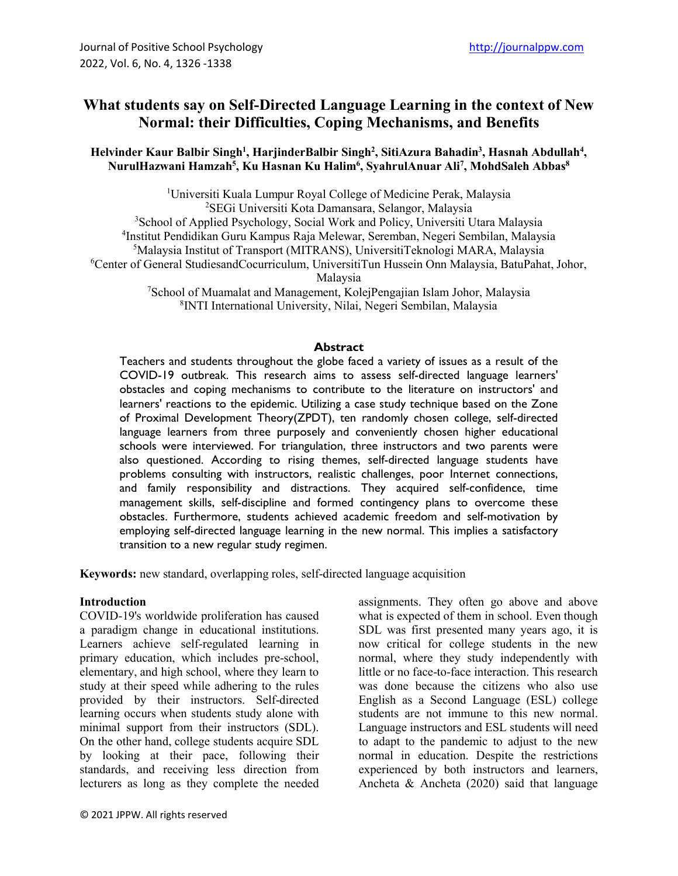# **What students say on Self-Directed Language Learning in the context of New Normal: their Difficulties, Coping Mechanisms, and Benefits**

#### Helvinder Kaur Balbir Singh<sup>1</sup>, HarjinderBalbir Singh<sup>2</sup>, SitiAzura Bahadin<sup>3</sup>, Hasnah Abdullah<sup>4</sup>, **NurulHazwani Hamzah5 , Ku Hasnan Ku Halim6 , SyahrulAnuar Ali7 , MohdSaleh Abbas8**

<sup>1</sup>Universiti Kuala Lumpur Royal College of Medicine Perak, Malaysia SEGi Universiti Kota Damansara, Selangor, Malaysia <sup>3</sup>School of Applied Psychology, Social Work and Policy, Universiti Utara Malaysia Institut Pendidikan Guru Kampus Raja Melewar, Seremban, Negeri Sembilan, Malaysia Malaysia Institut of Transport (MITRANS), UniversitiTeknologi MARA, Malaysia Center of General StudiesandCocurriculum, UniversitiTun Hussein Onn Malaysia, BatuPahat, Johor, Malaysia School of Muamalat and Management, KolejPengajian Islam Johor, Malaysia

8 INTI International University, Nilai, Negeri Sembilan, Malaysia

### **Abstract**

Teachers and students throughout the globe faced a variety of issues as a result of the COVID-19 outbreak. This research aims to assess self-directed language learners' obstacles and coping mechanisms to contribute to the literature on instructors' and learners' reactions to the epidemic. Utilizing a case study technique based on the Zone of Proximal Development Theory(ZPDT), ten randomly chosen college, self-directed language learners from three purposely and conveniently chosen higher educational schools were interviewed. For triangulation, three instructors and two parents were also questioned. According to rising themes, self-directed language students have problems consulting with instructors, realistic challenges, poor Internet connections, and family responsibility and distractions. They acquired self-confidence, time management skills, self-discipline and formed contingency plans to overcome these obstacles. Furthermore, students achieved academic freedom and self-motivation by employing self-directed language learning in the new normal. This implies a satisfactory transition to a new regular study regimen.

**Keywords:** new standard, overlapping roles, self-directed language acquisition

#### **Introduction**

COVID-19's worldwide proliferation has caused a paradigm change in educational institutions. Learners achieve self-regulated learning in primary education, which includes pre-school, elementary, and high school, where they learn to study at their speed while adhering to the rules provided by their instructors. Self-directed learning occurs when students study alone with minimal support from their instructors (SDL). On the other hand, college students acquire SDL by looking at their pace, following their standards, and receiving less direction from lecturers as long as they complete the needed assignments. They often go above and above what is expected of them in school. Even though SDL was first presented many years ago, it is now critical for college students in the new normal, where they study independently with little or no face-to-face interaction. This research was done because the citizens who also use English as a Second Language (ESL) college students are not immune to this new normal. Language instructors and ESL students will need to adapt to the pandemic to adjust to the new normal in education. Despite the restrictions experienced by both instructors and learners, Ancheta & Ancheta (2020) said that language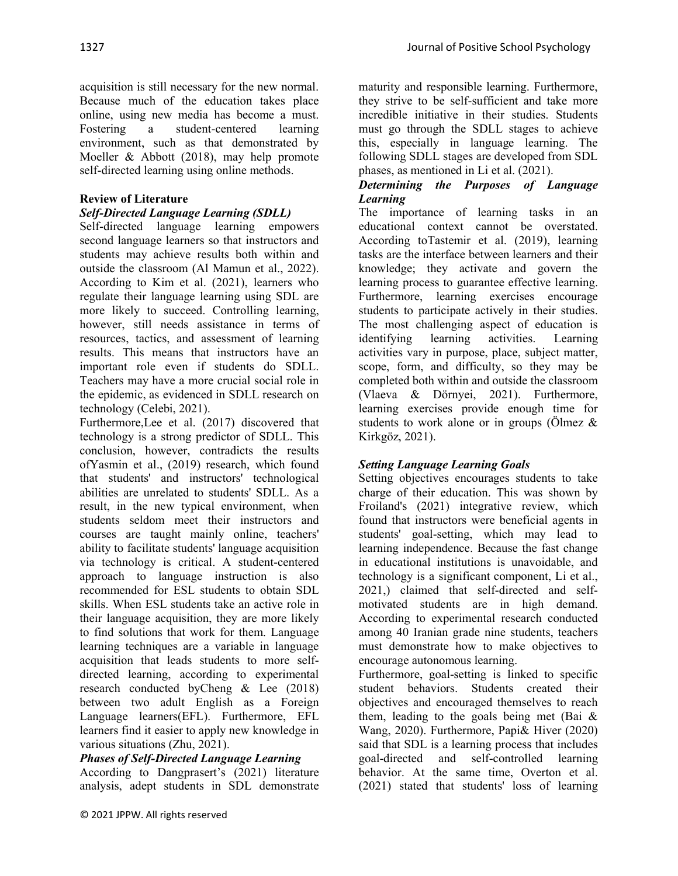acquisition is still necessary for the new normal. Because much of the education takes place online, using new media has become a must. Fostering a student-centered learning environment, such as that demonstrated by Moeller & Abbott (2018), may help promote self-directed learning using online methods.

### **Review of Literature**

## *Self-Directed Language Learning (SDLL)*

Self-directed language learning empowers second language learners so that instructors and students may achieve results both within and outside the classroom (Al Mamun et al., 2022). According to Kim et al. (2021), learners who regulate their language learning using SDL are more likely to succeed. Controlling learning, however, still needs assistance in terms of resources, tactics, and assessment of learning results. This means that instructors have an important role even if students do SDLL. Teachers may have a more crucial social role in the epidemic, as evidenced in SDLL research on technology (Celebi, 2021).

Furthermore,Lee et al. (2017) discovered that technology is a strong predictor of SDLL. This conclusion, however, contradicts the results ofYasmin et al., (2019) research, which found that students' and instructors' technological abilities are unrelated to students' SDLL. As a result, in the new typical environment, when students seldom meet their instructors and courses are taught mainly online, teachers' ability to facilitate students' language acquisition via technology is critical. A student-centered approach to language instruction is also recommended for ESL students to obtain SDL skills. When ESL students take an active role in their language acquisition, they are more likely to find solutions that work for them. Language learning techniques are a variable in language acquisition that leads students to more selfdirected learning, according to experimental research conducted byCheng & Lee (2018) between two adult English as a Foreign Language learners(EFL). Furthermore, EFL learners find it easier to apply new knowledge in various situations (Zhu, 2021).

#### *Phases of Self-Directed Language Learning*

According to Dangprasert's (2021) literature analysis, adept students in SDL demonstrate

maturity and responsible learning. Furthermore, they strive to be self-sufficient and take more incredible initiative in their studies. Students must go through the SDLL stages to achieve this, especially in language learning. The following SDLL stages are developed from SDL phases, as mentioned in Li et al. (2021).

#### *Determining the Purposes of Language Learning*

The importance of learning tasks in an educational context cannot be overstated. According toTastemir et al. (2019), learning tasks are the interface between learners and their knowledge; they activate and govern the learning process to guarantee effective learning. Furthermore, learning exercises encourage students to participate actively in their studies. The most challenging aspect of education is identifying learning activities. Learning activities vary in purpose, place, subject matter, scope, form, and difficulty, so they may be completed both within and outside the classroom (Vlaeva & Dörnyei, 2021). Furthermore, learning exercises provide enough time for students to work alone or in groups ( $\ddot{\text{O}}$ lmez & Kirkgöz, 2021).

#### *Setting Language Learning Goals*

Setting objectives encourages students to take charge of their education. This was shown by Froiland's (2021) integrative review, which found that instructors were beneficial agents in students' goal-setting, which may lead to learning independence. Because the fast change in educational institutions is unavoidable, and technology is a significant component, Li et al., 2021,) claimed that self-directed and selfmotivated students are in high demand. According to experimental research conducted among 40 Iranian grade nine students, teachers must demonstrate how to make objectives to encourage autonomous learning.

Furthermore, goal-setting is linked to specific student behaviors. Students created their objectives and encouraged themselves to reach them, leading to the goals being met (Bai & Wang, 2020). Furthermore, Papi& Hiver (2020) said that SDL is a learning process that includes goal-directed and self-controlled learning behavior. At the same time, Overton et al. (2021) stated that students' loss of learning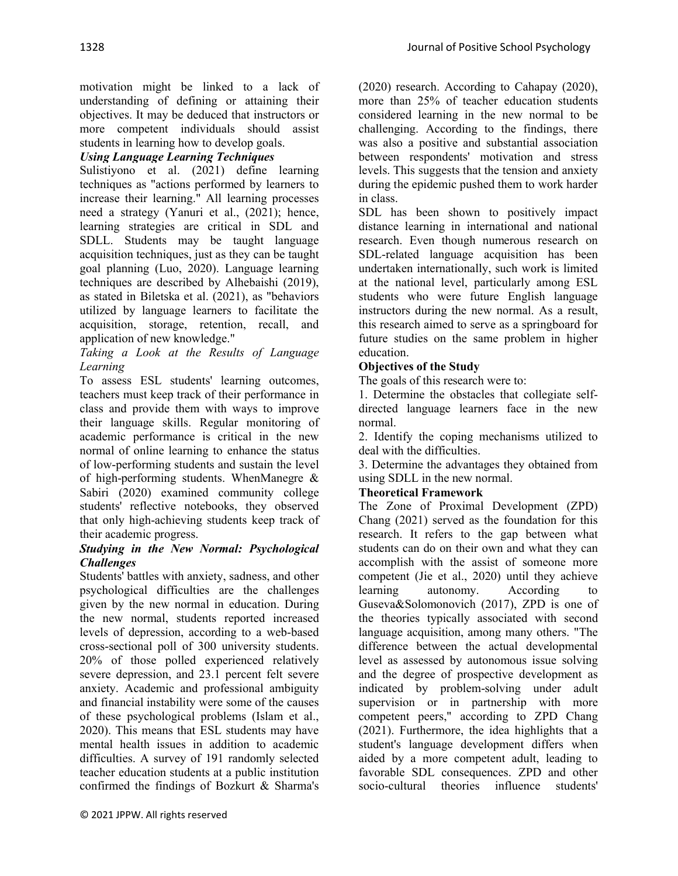motivation might be linked to a lack of understanding of defining or attaining their objectives. It may be deduced that instructors or more competent individuals should assist students in learning how to develop goals.

## *Using Language Learning Techniques*

Sulistiyono et al. (2021) define learning techniques as "actions performed by learners to increase their learning." All learning processes need a strategy (Yanuri et al., (2021); hence, learning strategies are critical in SDL and SDLL. Students may be taught language acquisition techniques, just as they can be taught goal planning (Luo, 2020). Language learning techniques are described by Alhebaishi (2019), as stated in Biletska et al. (2021), as "behaviors utilized by language learners to facilitate the acquisition, storage, retention, recall, and application of new knowledge."

*Taking a Look at the Results of Language Learning*

To assess ESL students' learning outcomes, teachers must keep track of their performance in class and provide them with ways to improve their language skills. Regular monitoring of academic performance is critical in the new normal of online learning to enhance the status of low-performing students and sustain the level of high-performing students. WhenManegre & Sabiri (2020) examined community college students' reflective notebooks, they observed that only high-achieving students keep track of their academic progress.

### *Studying in the New Normal: Psychological Challenges*

Students' battles with anxiety, sadness, and other psychological difficulties are the challenges given by the new normal in education. During the new normal, students reported increased levels of depression, according to a web-based cross-sectional poll of 300 university students. 20% of those polled experienced relatively severe depression, and 23.1 percent felt severe anxiety. Academic and professional ambiguity and financial instability were some of the causes of these psychological problems (Islam et al., 2020). This means that ESL students may have mental health issues in addition to academic difficulties. A survey of 191 randomly selected teacher education students at a public institution confirmed the findings of Bozkurt & Sharma's

(2020) research. According to Cahapay (2020), more than 25% of teacher education students considered learning in the new normal to be challenging. According to the findings, there was also a positive and substantial association between respondents' motivation and stress levels. This suggests that the tension and anxiety during the epidemic pushed them to work harder in class.

SDL has been shown to positively impact distance learning in international and national research. Even though numerous research on SDL-related language acquisition has been undertaken internationally, such work is limited at the national level, particularly among ESL students who were future English language instructors during the new normal. As a result, this research aimed to serve as a springboard for future studies on the same problem in higher education.

### **Objectives of the Study**

The goals of this research were to:

1. Determine the obstacles that collegiate selfdirected language learners face in the new normal.

2. Identify the coping mechanisms utilized to deal with the difficulties.

3. Determine the advantages they obtained from using SDLL in the new normal.

#### **Theoretical Framework**

The Zone of Proximal Development (ZPD) Chang (2021) served as the foundation for this research. It refers to the gap between what students can do on their own and what they can accomplish with the assist of someone more competent (Jie et al., 2020) until they achieve learning autonomy. According to Guseva&Solomonovich (2017), ZPD is one of the theories typically associated with second language acquisition, among many others. "The difference between the actual developmental level as assessed by autonomous issue solving and the degree of prospective development as indicated by problem-solving under adult supervision or in partnership with more competent peers," according to ZPD Chang (2021). Furthermore, the idea highlights that a student's language development differs when aided by a more competent adult, leading to favorable SDL consequences. ZPD and other socio-cultural theories influence students'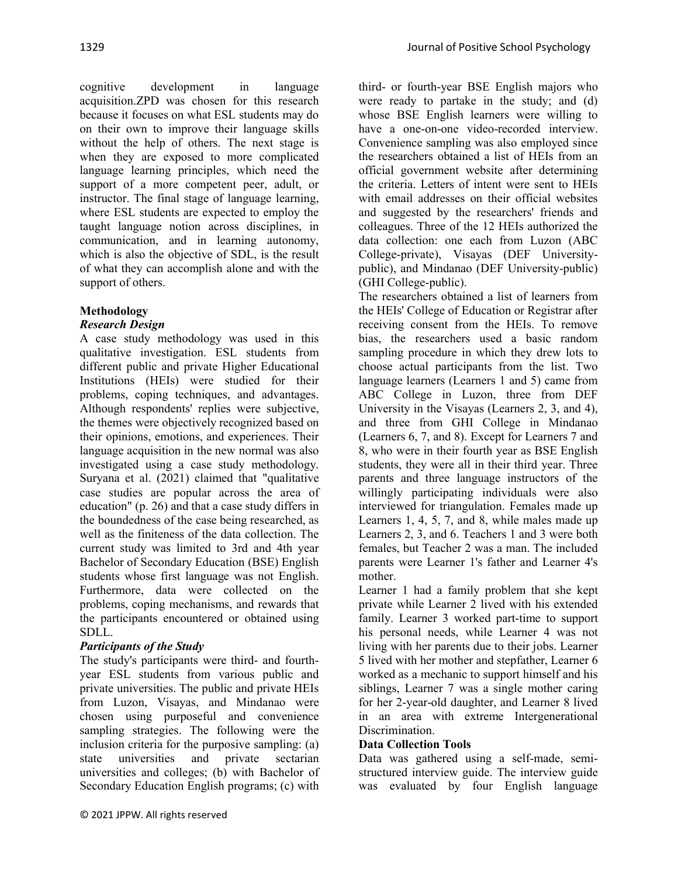cognitive development in language acquisition.ZPD was chosen for this research because it focuses on what ESL students may do on their own to improve their language skills without the help of others. The next stage is when they are exposed to more complicated language learning principles, which need the support of a more competent peer, adult, or instructor. The final stage of language learning, where ESL students are expected to employ the taught language notion across disciplines, in communication, and in learning autonomy, which is also the objective of SDL, is the result of what they can accomplish alone and with the support of others.

# **Methodology**

# *Research Design*

A case study methodology was used in this qualitative investigation. ESL students from different public and private Higher Educational Institutions (HEIs) were studied for their problems, coping techniques, and advantages. Although respondents' replies were subjective, the themes were objectively recognized based on their opinions, emotions, and experiences. Their language acquisition in the new normal was also investigated using a case study methodology. Suryana et al. (2021) claimed that "qualitative case studies are popular across the area of education" (p. 26) and that a case study differs in the boundedness of the case being researched, as well as the finiteness of the data collection. The current study was limited to 3rd and 4th year Bachelor of Secondary Education (BSE) English students whose first language was not English. Furthermore, data were collected on the problems, coping mechanisms, and rewards that the participants encountered or obtained using SDLL.

# *Participants of the Study*

The study's participants were third- and fourthyear ESL students from various public and private universities. The public and private HEIs from Luzon, Visayas, and Mindanao were chosen using purposeful and convenience sampling strategies. The following were the inclusion criteria for the purposive sampling: (a) state universities and private sectarian universities and colleges; (b) with Bachelor of Secondary Education English programs; (c) with third- or fourth-year BSE English majors who were ready to partake in the study; and (d) whose BSE English learners were willing to have a one-on-one video-recorded interview. Convenience sampling was also employed since the researchers obtained a list of HEIs from an official government website after determining the criteria. Letters of intent were sent to HEIs with email addresses on their official websites and suggested by the researchers' friends and colleagues. Three of the 12 HEIs authorized the data collection: one each from Luzon (ABC College-private), Visayas (DEF Universitypublic), and Mindanao (DEF University-public) (GHI College-public).

The researchers obtained a list of learners from the HEIs' College of Education or Registrar after receiving consent from the HEIs. To remove bias, the researchers used a basic random sampling procedure in which they drew lots to choose actual participants from the list. Two language learners (Learners 1 and 5) came from ABC College in Luzon, three from DEF University in the Visayas (Learners 2, 3, and 4), and three from GHI College in Mindanao (Learners 6, 7, and 8). Except for Learners 7 and 8, who were in their fourth year as BSE English students, they were all in their third year. Three parents and three language instructors of the willingly participating individuals were also interviewed for triangulation. Females made up Learners 1, 4, 5, 7, and 8, while males made up Learners 2, 3, and 6. Teachers 1 and 3 were both females, but Teacher 2 was a man. The included parents were Learner 1's father and Learner 4's mother.

Learner 1 had a family problem that she kept private while Learner 2 lived with his extended family. Learner 3 worked part-time to support his personal needs, while Learner 4 was not living with her parents due to their jobs. Learner 5 lived with her mother and stepfather, Learner 6 worked as a mechanic to support himself and his siblings, Learner 7 was a single mother caring for her 2-year-old daughter, and Learner 8 lived in an area with extreme Intergenerational Discrimination.

## **Data Collection Tools**

Data was gathered using a self-made, semistructured interview guide. The interview guide was evaluated by four English language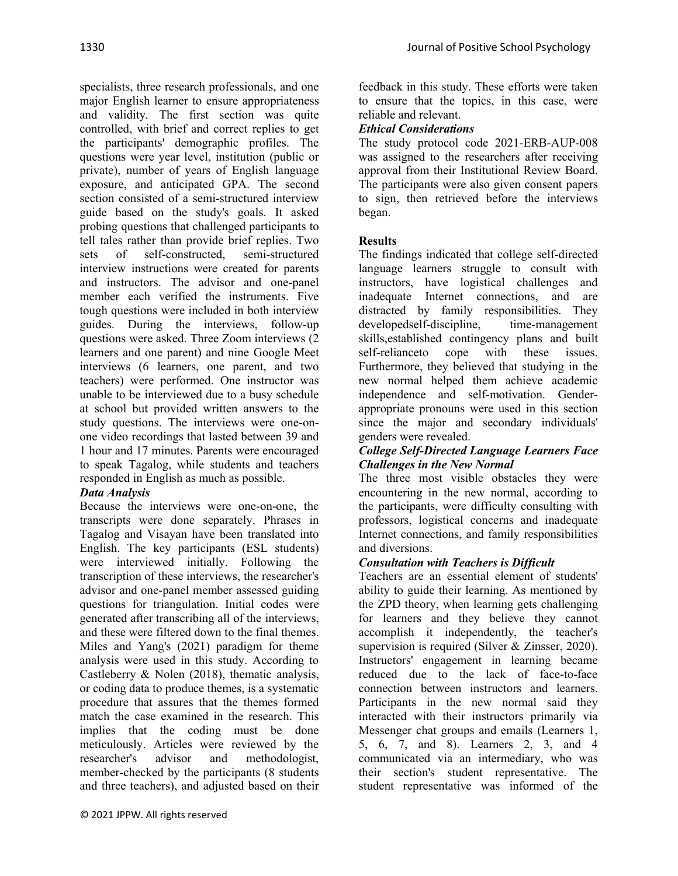specialists, three research professionals, and one major English learner to ensure appropriateness and validity. The first section was quite controlled, with brief and correct replies to get the participants' demographic profiles. The questions were year level, institution (public or private), number of years of English language exposure, and anticipated GPA. The second section consisted of a semi-structured interview guide based on the study's goals. It asked probing questions that challenged participants to tell tales rather than provide brief replies. Two sets of self-constructed, semi-structured interview instructions were created for parents and instructors. The advisor and one-panel member each verified the instruments. Five tough questions were included in both interview guides. During the interviews, follow-up questions were asked. Three Zoom interviews (2 learners and one parent) and nine Google Meet interviews (6 learners, one parent, and two teachers) were performed. One instructor was unable to be interviewed due to a busy schedule at school but provided written answers to the study questions. The interviews were one-onone video recordings that lasted between 39 and 1 hour and 17 minutes. Parents were encouraged to speak Tagalog, while students and teachers responded in English as much as possible.

## *Data Analysis*

Because the interviews were one-on-one, the transcripts were done separately. Phrases in Tagalog and Visayan have been translated into English. The key participants (ESL students) were interviewed initially. Following the transcription of these interviews, the researcher's advisor and one-panel member assessed guiding questions for triangulation. Initial codes were generated after transcribing all of the interviews, and these were filtered down to the final themes. Miles and Yang's (2021) paradigm for theme analysis were used in this study. According to Castleberry & Nolen (2018), thematic analysis, or coding data to produce themes, is a systematic procedure that assures that the themes formed match the case examined in the research. This implies that the coding must be done meticulously. Articles were reviewed by the researcher's advisor and methodologist, member-checked by the participants (8 students and three teachers), and adjusted based on their

feedback in this study. These efforts were taken to ensure that the topics, in this case, were reliable and relevant.

# *Ethical Considerations*

The study protocol code 2021-ERB-AUP-008 was assigned to the researchers after receiving approval from their Institutional Review Board. The participants were also given consent papers to sign, then retrieved before the interviews began.

# **Results**

The findings indicated that college self-directed language learners struggle to consult with instructors, have logistical challenges and inadequate Internet connections, and are distracted by family responsibilities. They developedself-discipline, time-management skills,established contingency plans and built self-relianceto cope with these issues. Furthermore, they believed that studying in the new normal helped them achieve academic independence and self-motivation. Genderappropriate pronouns were used in this section since the major and secondary individuals' genders were revealed.

### *College Self-Directed Language Learners Face Challenges in the New Normal*

The three most visible obstacles they were encountering in the new normal, according to the participants, were difficulty consulting with professors, logistical concerns and inadequate Internet connections, and family responsibilities and diversions.

## *Consultation with Teachers is Difficult*

Teachers are an essential element of students' ability to guide their learning. As mentioned by the ZPD theory, when learning gets challenging for learners and they believe they cannot accomplish it independently, the teacher's supervision is required (Silver & Zinsser, 2020). Instructors' engagement in learning became reduced due to the lack of face-to-face connection between instructors and learners. Participants in the new normal said they interacted with their instructors primarily via Messenger chat groups and emails (Learners 1, 5, 6, 7, and 8). Learners 2, 3, and 4 communicated via an intermediary, who was their section's student representative. The student representative was informed of the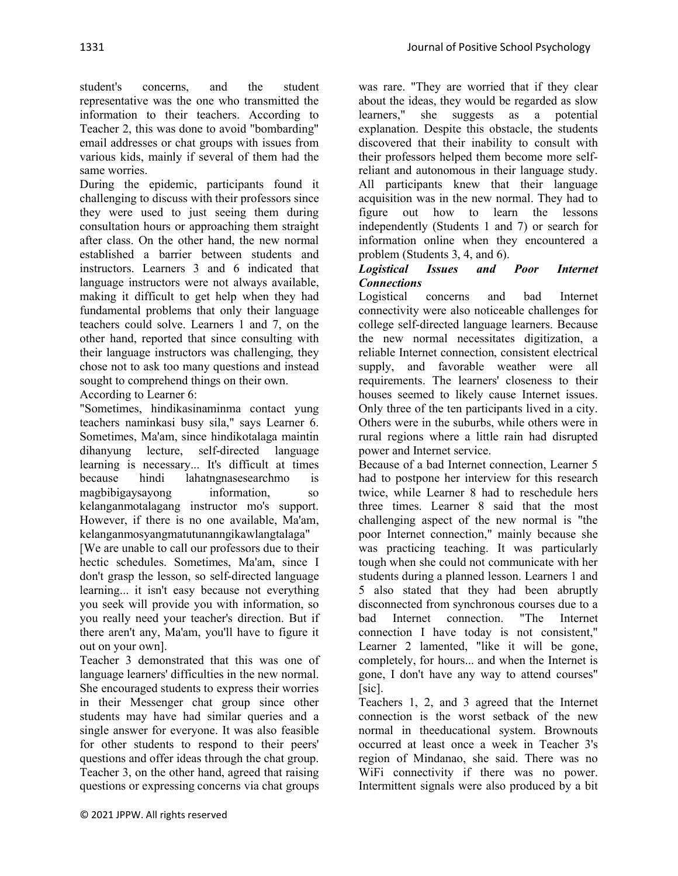student's concerns, and the student representative was the one who transmitted the information to their teachers. According to Teacher 2, this was done to avoid "bombarding" email addresses or chat groups with issues from various kids, mainly if several of them had the same worries.

During the epidemic, participants found it challenging to discuss with their professors since they were used to just seeing them during consultation hours or approaching them straight after class. On the other hand, the new normal established a barrier between students and instructors. Learners 3 and 6 indicated that language instructors were not always available, making it difficult to get help when they had fundamental problems that only their language teachers could solve. Learners 1 and 7, on the other hand, reported that since consulting with their language instructors was challenging, they chose not to ask too many questions and instead sought to comprehend things on their own. According to Learner 6:

"Sometimes, hindikasinaminma contact yung teachers naminkasi busy sila," says Learner 6. Sometimes, Ma'am, since hindikotalaga maintin dihanyung lecture, self-directed language learning is necessary... It's difficult at times because hindi lahatngnasesearchmo is magbibigaysayong information, so kelanganmotalagang instructor mo's support. However, if there is no one available, Ma'am, kelanganmosyangmatutunanngikawlangtalaga"

[We are unable to call our professors due to their hectic schedules. Sometimes, Ma'am, since I don't grasp the lesson, so self-directed language learning... it isn't easy because not everything you seek will provide you with information, so you really need your teacher's direction. But if there aren't any, Ma'am, you'll have to figure it out on your own].

Teacher 3 demonstrated that this was one of language learners' difficulties in the new normal. She encouraged students to express their worries in their Messenger chat group since other students may have had similar queries and a single answer for everyone. It was also feasible for other students to respond to their peers' questions and offer ideas through the chat group. Teacher 3, on the other hand, agreed that raising questions or expressing concerns via chat groups

was rare. "They are worried that if they clear about the ideas, they would be regarded as slow learners," she suggests as a potential explanation. Despite this obstacle, the students discovered that their inability to consult with their professors helped them become more selfreliant and autonomous in their language study. All participants knew that their language acquisition was in the new normal. They had to figure out how to learn the lessons independently (Students 1 and 7) or search for information online when they encountered a problem (Students 3, 4, and 6).

### *Logistical Issues and Poor Internet Connections*

Logistical concerns and bad Internet connectivity were also noticeable challenges for college self-directed language learners. Because the new normal necessitates digitization, a reliable Internet connection, consistent electrical supply, and favorable weather were all requirements. The learners' closeness to their houses seemed to likely cause Internet issues. Only three of the ten participants lived in a city. Others were in the suburbs, while others were in rural regions where a little rain had disrupted power and Internet service.

Because of a bad Internet connection, Learner 5 had to postpone her interview for this research twice, while Learner 8 had to reschedule hers three times. Learner 8 said that the most challenging aspect of the new normal is "the poor Internet connection," mainly because she was practicing teaching. It was particularly tough when she could not communicate with her students during a planned lesson. Learners 1 and 5 also stated that they had been abruptly disconnected from synchronous courses due to a bad Internet connection. "The Internet connection I have today is not consistent," Learner 2 lamented, "like it will be gone, completely, for hours... and when the Internet is gone, I don't have any way to attend courses" [sic].

Teachers 1, 2, and 3 agreed that the Internet connection is the worst setback of the new normal in theeducational system. Brownouts occurred at least once a week in Teacher 3's region of Mindanao, she said. There was no WiFi connectivity if there was no power. Intermittent signals were also produced by a bit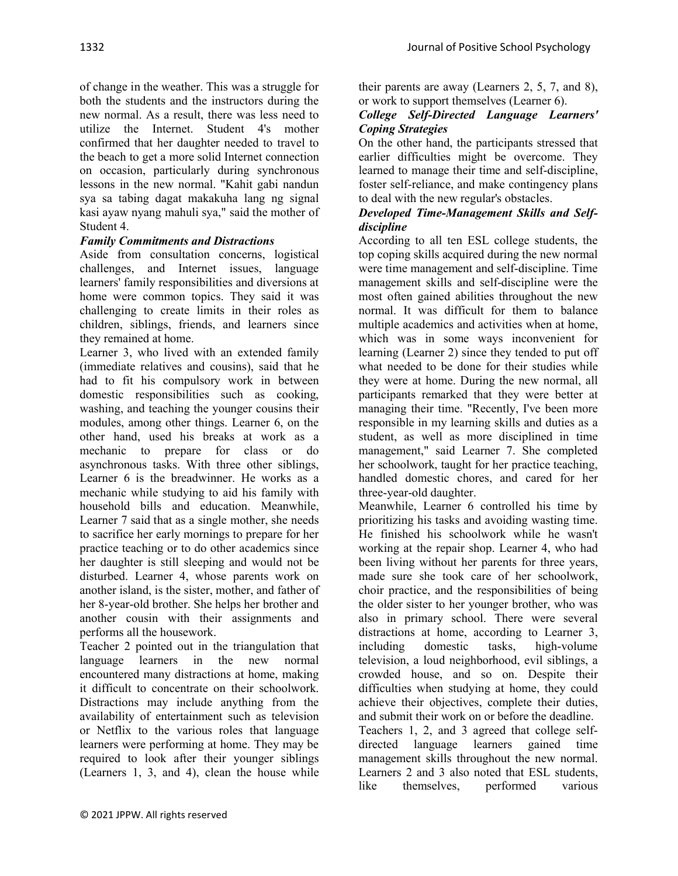of change in the weather. This was a struggle for both the students and the instructors during the new normal. As a result, there was less need to utilize the Internet. Student 4's mother confirmed that her daughter needed to travel to the beach to get a more solid Internet connection on occasion, particularly during synchronous lessons in the new normal. "Kahit gabi nandun sya sa tabing dagat makakuha lang ng signal kasi ayaw nyang mahuli sya," said the mother of Student 4.

# *Family Commitments and Distractions*

Aside from consultation concerns, logistical challenges, and Internet issues, language learners' family responsibilities and diversions at home were common topics. They said it was challenging to create limits in their roles as children, siblings, friends, and learners since they remained at home.

Learner 3, who lived with an extended family (immediate relatives and cousins), said that he had to fit his compulsory work in between domestic responsibilities such as cooking, washing, and teaching the younger cousins their modules, among other things. Learner 6, on the other hand, used his breaks at work as a mechanic to prepare for class or do asynchronous tasks. With three other siblings, Learner 6 is the breadwinner. He works as a mechanic while studying to aid his family with household bills and education. Meanwhile, Learner 7 said that as a single mother, she needs to sacrifice her early mornings to prepare for her practice teaching or to do other academics since her daughter is still sleeping and would not be disturbed. Learner 4, whose parents work on another island, is the sister, mother, and father of her 8-year-old brother. She helps her brother and another cousin with their assignments and performs all the housework.

Teacher 2 pointed out in the triangulation that language learners in the new normal encountered many distractions at home, making it difficult to concentrate on their schoolwork. Distractions may include anything from the availability of entertainment such as television or Netflix to the various roles that language learners were performing at home. They may be required to look after their younger siblings (Learners 1, 3, and 4), clean the house while

their parents are away (Learners 2, 5, 7, and 8), or work to support themselves (Learner 6).

### *College Self-Directed Language Learners' Coping Strategies*

On the other hand, the participants stressed that earlier difficulties might be overcome. They learned to manage their time and self-discipline, foster self-reliance, and make contingency plans to deal with the new regular's obstacles.

### *Developed Time-Management Skills and Selfdiscipline*

According to all ten ESL college students, the top coping skills acquired during the new normal were time management and self-discipline. Time management skills and self-discipline were the most often gained abilities throughout the new normal. It was difficult for them to balance multiple academics and activities when at home, which was in some ways inconvenient for learning (Learner 2) since they tended to put off what needed to be done for their studies while they were at home. During the new normal, all participants remarked that they were better at managing their time. "Recently, I've been more responsible in my learning skills and duties as a student, as well as more disciplined in time management," said Learner 7. She completed her schoolwork, taught for her practice teaching, handled domestic chores, and cared for her three-year-old daughter.

Meanwhile, Learner 6 controlled his time by prioritizing his tasks and avoiding wasting time. He finished his schoolwork while he wasn't working at the repair shop. Learner 4, who had been living without her parents for three years, made sure she took care of her schoolwork, choir practice, and the responsibilities of being the older sister to her younger brother, who was also in primary school. There were several distractions at home, according to Learner 3, including domestic tasks, high-volume television, a loud neighborhood, evil siblings, a crowded house, and so on. Despite their difficulties when studying at home, they could achieve their objectives, complete their duties, and submit their work on or before the deadline. Teachers 1, 2, and 3 agreed that college selfdirected language learners gained time management skills throughout the new normal. Learners 2 and 3 also noted that ESL students, like themselves, performed various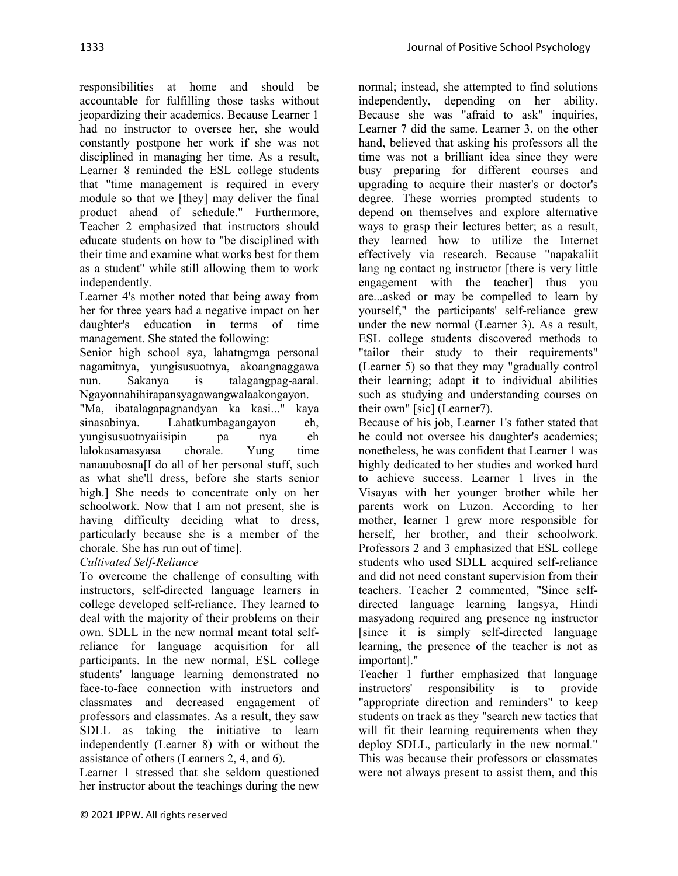responsibilities at home and should be accountable for fulfilling those tasks without jeopardizing their academics. Because Learner 1 had no instructor to oversee her, she would constantly postpone her work if she was not disciplined in managing her time. As a result, Learner 8 reminded the ESL college students that "time management is required in every module so that we [they] may deliver the final product ahead of schedule." Furthermore, Teacher 2 emphasized that instructors should educate students on how to "be disciplined with their time and examine what works best for them as a student" while still allowing them to work independently.

Learner 4's mother noted that being away from her for three years had a negative impact on her daughter's education in terms of time management. She stated the following:

Senior high school sya, lahatngmga personal nagamitnya, yungisusuotnya, akoangnaggawa nun. Sakanya is talagangpag-aaral. Ngayonnahihirapansyagawangwalaakongayon.

"Ma, ibatalagapagnandyan ka kasi..." kaya sinasabinya. Lahatkumbagangayon eh, yungisusuotnyaiisipin pa nya eh lalokasamasyasa chorale. Yung time nanauubosna[I do all of her personal stuff, such as what she'll dress, before she starts senior high.] She needs to concentrate only on her schoolwork. Now that I am not present, she is having difficulty deciding what to dress, particularly because she is a member of the chorale. She has run out of time].

# *Cultivated Self-Reliance*

To overcome the challenge of consulting with instructors, self-directed language learners in college developed self-reliance. They learned to deal with the majority of their problems on their own. SDLL in the new normal meant total selfreliance for language acquisition for all participants. In the new normal, ESL college students' language learning demonstrated no face-to-face connection with instructors and classmates and decreased engagement of professors and classmates. As a result, they saw SDLL as taking the initiative to learn independently (Learner 8) with or without the assistance of others (Learners 2, 4, and 6).

Learner 1 stressed that she seldom questioned her instructor about the teachings during the new

normal; instead, she attempted to find solutions independently, depending on her ability. Because she was "afraid to ask" inquiries, Learner 7 did the same. Learner 3, on the other hand, believed that asking his professors all the time was not a brilliant idea since they were busy preparing for different courses and upgrading to acquire their master's or doctor's degree. These worries prompted students to depend on themselves and explore alternative ways to grasp their lectures better; as a result, they learned how to utilize the Internet effectively via research. Because "napakaliit lang ng contact ng instructor [there is very little engagement with the teacher] thus you are...asked or may be compelled to learn by yourself," the participants' self-reliance grew under the new normal (Learner 3). As a result, ESL college students discovered methods to "tailor their study to their requirements" (Learner 5) so that they may "gradually control their learning; adapt it to individual abilities such as studying and understanding courses on their own" [sic] (Learner7).

Because of his job, Learner 1's father stated that he could not oversee his daughter's academics; nonetheless, he was confident that Learner 1 was highly dedicated to her studies and worked hard to achieve success. Learner 1 lives in the Visayas with her younger brother while her parents work on Luzon. According to her mother, learner 1 grew more responsible for herself, her brother, and their schoolwork. Professors 2 and 3 emphasized that ESL college students who used SDLL acquired self-reliance and did not need constant supervision from their teachers. Teacher 2 commented, "Since selfdirected language learning langsya, Hindi masyadong required ang presence ng instructor [since it is simply self-directed language learning, the presence of the teacher is not as important]."

Teacher 1 further emphasized that language instructors' responsibility is to provide "appropriate direction and reminders" to keep students on track as they "search new tactics that will fit their learning requirements when they deploy SDLL, particularly in the new normal." This was because their professors or classmates were not always present to assist them, and this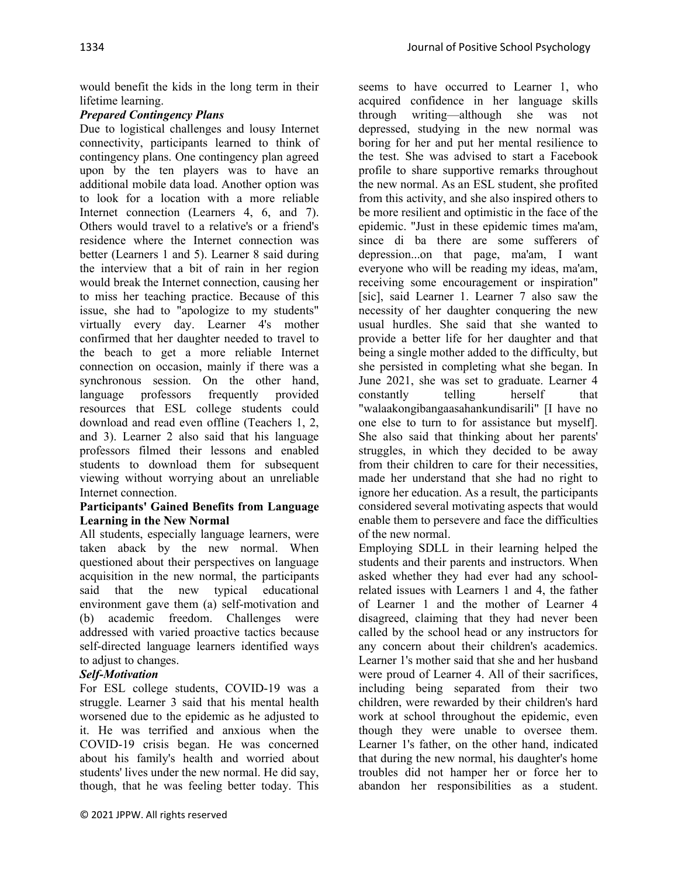would benefit the kids in the long term in their lifetime learning.

# *Prepared Contingency Plans*

Due to logistical challenges and lousy Internet connectivity, participants learned to think of contingency plans. One contingency plan agreed upon by the ten players was to have an additional mobile data load. Another option was to look for a location with a more reliable Internet connection (Learners 4, 6, and 7). Others would travel to a relative's or a friend's residence where the Internet connection was better (Learners 1 and 5). Learner 8 said during the interview that a bit of rain in her region would break the Internet connection, causing her to miss her teaching practice. Because of this issue, she had to "apologize to my students" virtually every day. Learner 4's mother confirmed that her daughter needed to travel to the beach to get a more reliable Internet connection on occasion, mainly if there was a synchronous session. On the other hand, language professors frequently provided resources that ESL college students could download and read even offline (Teachers 1, 2, and 3). Learner 2 also said that his language professors filmed their lessons and enabled students to download them for subsequent viewing without worrying about an unreliable Internet connection.

#### **Participants' Gained Benefits from Language Learning in the New Normal**

All students, especially language learners, were taken aback by the new normal. When questioned about their perspectives on language acquisition in the new normal, the participants said that the new typical educational environment gave them (a) self-motivation and (b) academic freedom. Challenges were addressed with varied proactive tactics because self-directed language learners identified ways to adjust to changes.

## *Self-Motivation*

For ESL college students, COVID-19 was a struggle. Learner 3 said that his mental health worsened due to the epidemic as he adjusted to it. He was terrified and anxious when the COVID-19 crisis began. He was concerned about his family's health and worried about students' lives under the new normal. He did say, though, that he was feeling better today. This

seems to have occurred to Learner 1, who acquired confidence in her language skills through writing—although she was not depressed, studying in the new normal was boring for her and put her mental resilience to the test. She was advised to start a Facebook profile to share supportive remarks throughout the new normal. As an ESL student, she profited from this activity, and she also inspired others to be more resilient and optimistic in the face of the epidemic. "Just in these epidemic times ma'am, since di ba there are some sufferers of depression...on that page, ma'am, I want everyone who will be reading my ideas, ma'am, receiving some encouragement or inspiration" [sic], said Learner 1. Learner 7 also saw the necessity of her daughter conquering the new usual hurdles. She said that she wanted to provide a better life for her daughter and that being a single mother added to the difficulty, but she persisted in completing what she began. In June 2021, she was set to graduate. Learner 4 constantly telling herself that "walaakongibangaasahankundisarili" [I have no one else to turn to for assistance but myself]. She also said that thinking about her parents' struggles, in which they decided to be away from their children to care for their necessities, made her understand that she had no right to ignore her education. As a result, the participants considered several motivating aspects that would enable them to persevere and face the difficulties of the new normal.

Employing SDLL in their learning helped the students and their parents and instructors. When asked whether they had ever had any schoolrelated issues with Learners 1 and 4, the father of Learner 1 and the mother of Learner 4 disagreed, claiming that they had never been called by the school head or any instructors for any concern about their children's academics. Learner 1's mother said that she and her husband were proud of Learner 4. All of their sacrifices, including being separated from their two children, were rewarded by their children's hard work at school throughout the epidemic, even though they were unable to oversee them. Learner 1's father, on the other hand, indicated that during the new normal, his daughter's home troubles did not hamper her or force her to abandon her responsibilities as a student.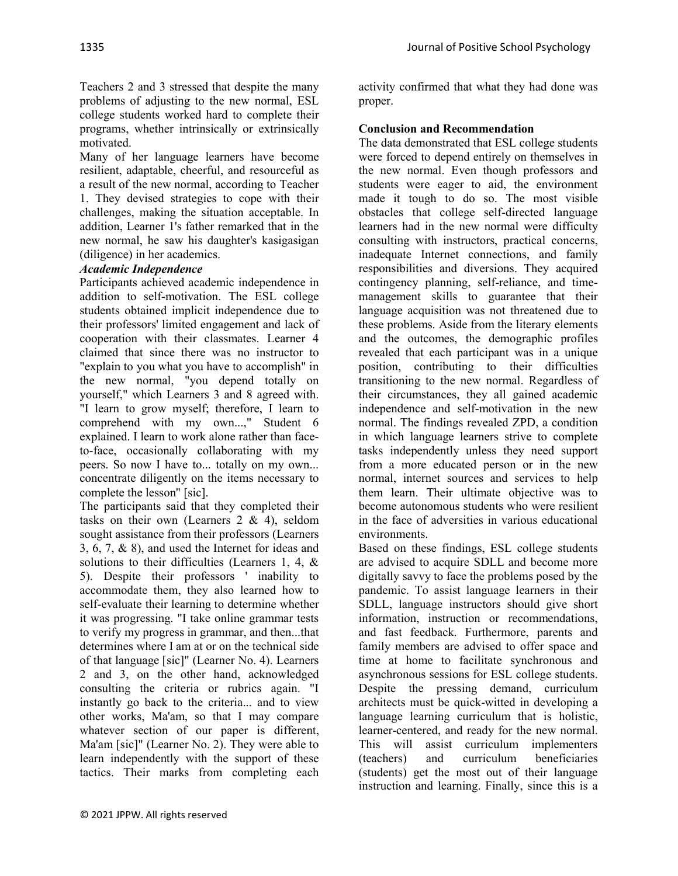Teachers 2 and 3 stressed that despite the many problems of adjusting to the new normal, ESL college students worked hard to complete their programs, whether intrinsically or extrinsically motivated.

Many of her language learners have become resilient, adaptable, cheerful, and resourceful as a result of the new normal, according to Teacher 1. They devised strategies to cope with their challenges, making the situation acceptable. In addition, Learner 1's father remarked that in the new normal, he saw his daughter's kasigasigan (diligence) in her academics.

# *Academic Independence*

Participants achieved academic independence in addition to self-motivation. The ESL college students obtained implicit independence due to their professors' limited engagement and lack of cooperation with their classmates. Learner 4 claimed that since there was no instructor to "explain to you what you have to accomplish" in the new normal, "you depend totally on yourself," which Learners 3 and 8 agreed with. "I learn to grow myself; therefore, I learn to comprehend with my own...," Student 6 explained. I learn to work alone rather than faceto-face, occasionally collaborating with my peers. So now I have to... totally on my own... concentrate diligently on the items necessary to complete the lesson" [sic].

The participants said that they completed their tasks on their own (Learners  $2 \& 4$ ), seldom sought assistance from their professors (Learners 3, 6, 7, & 8), and used the Internet for ideas and solutions to their difficulties (Learners 1, 4, & 5). Despite their professors ' inability to accommodate them, they also learned how to self-evaluate their learning to determine whether it was progressing. "I take online grammar tests to verify my progress in grammar, and then...that determines where I am at or on the technical side of that language [sic]" (Learner No. 4). Learners 2 and 3, on the other hand, acknowledged consulting the criteria or rubrics again. "I instantly go back to the criteria... and to view other works, Ma'am, so that I may compare whatever section of our paper is different, Ma'am [sic]" (Learner No. 2). They were able to learn independently with the support of these tactics. Their marks from completing each

activity confirmed that what they had done was proper.

# **Conclusion and Recommendation**

The data demonstrated that ESL college students were forced to depend entirely on themselves in the new normal. Even though professors and students were eager to aid, the environment made it tough to do so. The most visible obstacles that college self-directed language learners had in the new normal were difficulty consulting with instructors, practical concerns, inadequate Internet connections, and family responsibilities and diversions. They acquired contingency planning, self-reliance, and timemanagement skills to guarantee that their language acquisition was not threatened due to these problems. Aside from the literary elements and the outcomes, the demographic profiles revealed that each participant was in a unique position, contributing to their difficulties transitioning to the new normal. Regardless of their circumstances, they all gained academic independence and self-motivation in the new normal. The findings revealed ZPD, a condition in which language learners strive to complete tasks independently unless they need support from a more educated person or in the new normal, internet sources and services to help them learn. Their ultimate objective was to become autonomous students who were resilient in the face of adversities in various educational environments.

Based on these findings, ESL college students are advised to acquire SDLL and become more digitally savvy to face the problems posed by the pandemic. To assist language learners in their SDLL, language instructors should give short information, instruction or recommendations, and fast feedback. Furthermore, parents and family members are advised to offer space and time at home to facilitate synchronous and asynchronous sessions for ESL college students. Despite the pressing demand, curriculum architects must be quick-witted in developing a language learning curriculum that is holistic, learner-centered, and ready for the new normal. This will assist curriculum implementers (teachers) and curriculum beneficiaries (students) get the most out of their language instruction and learning. Finally, since this is a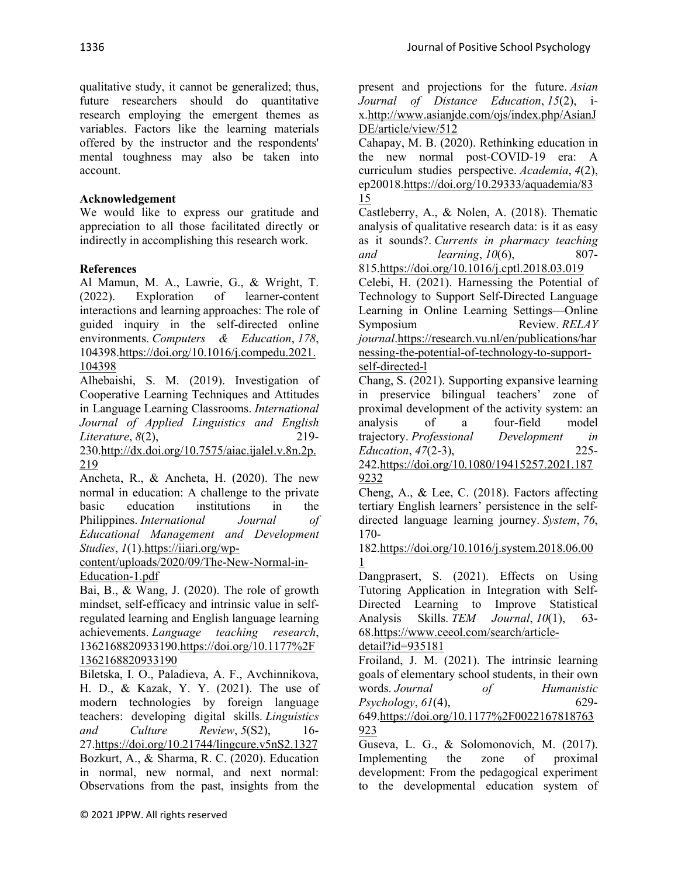qualitative study, it cannot be generalized; thus, future researchers should do quantitative research employing the emergent themes as variables. Factors like the learning materials offered by the instructor and the respondents' mental toughness may also be taken into account.

### **Acknowledgement**

We would like to express our gratitude and appreciation to all those facilitated directly or indirectly in accomplishing this research work.

## **References**

Al Mamun, M. A., Lawrie, G., & Wright, T. (2022). Exploration of learner-content interactions and learning approaches: The role of guided inquiry in the self-directed online environments. *Computers & Education*, *178*, 104398[.https://doi.org/10.1016/j.compedu.2021.](https://doi.org/10.1016/j.compedu.2021.104398) [104398](https://doi.org/10.1016/j.compedu.2021.104398)

Alhebaishi, S. M. (2019). Investigation of Cooperative Learning Techniques and Attitudes in Language Learning Classrooms. *International Journal of Applied Linguistics and English Literature*, *8*(2), 219-

230[.http://dx.doi.org/10.7575/aiac.ijalel.v.8n.2p.](http://dx.doi.org/10.7575/aiac.ijalel.v.8n.2p.219) [219](http://dx.doi.org/10.7575/aiac.ijalel.v.8n.2p.219)

Ancheta, R., & Ancheta, H. (2020). The new normal in education: A challenge to the private basic education institutions in the Philippines. *International Journal of Educational Management and Development Studies*, *1*(1)[.https://iiari.org/wp-](https://iiari.org/wp-content/uploads/2020/09/The-New-Normal-in-Education-1.pdf)

[content/uploads/2020/09/The-New-Normal-in-](https://iiari.org/wp-content/uploads/2020/09/The-New-Normal-in-Education-1.pdf)[Education-1.pdf](https://iiari.org/wp-content/uploads/2020/09/The-New-Normal-in-Education-1.pdf)

Bai, B., & Wang, J. (2020). The role of growth mindset, self-efficacy and intrinsic value in selfregulated learning and English language learning achievements. *Language teaching research*, 136216882093319[0.https://doi.org/10.1177%2F](https://doi.org/10.1177%2F1362168820933190) [1362168820933190](https://doi.org/10.1177%2F1362168820933190)

Biletska, I. O., Paladieva, A. F., Avchinnikova, H. D., & Kazak, Y. Y. (2021). The use of modern technologies by foreign language teachers: developing digital skills. *Linguistics and Culture Review*, *5*(S2), 16- 27[.https://doi.org/10.21744/lingcure.v5nS2.1327](https://doi.org/10.21744/lingcure.v5nS2.1327) Bozkurt, A., & Sharma, R. C. (2020). Education in normal, new normal, and next normal: Observations from the past, insights from the

present and projections for the future. *Asian Journal of Distance Education*, *15*(2), ix[.http://www.asianjde.com/ojs/index.php/AsianJ](http://www.asianjde.com/ojs/index.php/AsianJDE/article/view/512) [DE/article/view/512](http://www.asianjde.com/ojs/index.php/AsianJDE/article/view/512)

Cahapay, M. B. (2020). Rethinking education in the new normal post-COVID-19 era: A curriculum studies perspective. *Academia*, *4*(2), ep2001[8.https://doi.org/10.29333/aquademia/83](https://doi.org/10.29333/aquademia/8315) [15](https://doi.org/10.29333/aquademia/8315)

Castleberry, A., & Nolen, A. (2018). Thematic analysis of qualitative research data: is it as easy as it sounds?. *Currents in pharmacy teaching and learning*, *10*(6), 807- 815[.https://doi.org/10.1016/j.cptl.2018.03.019](https://doi.org/10.1016/j.cptl.2018.03.019)

Celebi, H. (2021). Harnessing the Potential of Technology to Support Self-Directed Language Learning in Online Learning Settings––Online Symposium Review. *RELAY journal*[.https://research.vu.nl/en/publications/har](https://research.vu.nl/en/publications/harnessing-the-potential-of-technology-to-support-self-directed-l) [nessing-the-potential-of-technology-to-support](https://research.vu.nl/en/publications/harnessing-the-potential-of-technology-to-support-self-directed-l)[self-directed-l](https://research.vu.nl/en/publications/harnessing-the-potential-of-technology-to-support-self-directed-l)

Chang, S. (2021). Supporting expansive learning in preservice bilingual teachers' zone of proximal development of the activity system: an analysis of a four-field model trajectory. *Professional Development in Education*, *47*(2-3), 225- 242[.https://doi.org/10.1080/19415257.2021.187](https://doi.org/10.1080/19415257.2021.1879232)

[9232](https://doi.org/10.1080/19415257.2021.1879232)

Cheng, A., & Lee, C. (2018). Factors affecting tertiary English learners' persistence in the selfdirected language learning journey. *System*, *76*, 170-

182[.https://doi.org/10.1016/j.system.2018.06.00](https://doi.org/10.1016/j.system.2018.06.001) [1](https://doi.org/10.1016/j.system.2018.06.001)

Dangprasert, S. (2021). Effects on Using Tutoring Application in Integration with Self-Directed Learning to Improve Statistical Analysis Skills. *TEM Journal*, *10*(1), 63- 68[.https://www.ceeol.com/search/article-](https://www.ceeol.com/search/article-detail?id=935181)

```
detail?id=935181
```
Froiland, J. M. (2021). The intrinsic learning goals of elementary school students, in their own words. *Journal of Humanistic Psychology*, *61*(4), 629-

649[.https://doi.org/10.1177%2F0022167818763](https://doi.org/10.1177%2F0022167818763923) [923](https://doi.org/10.1177%2F0022167818763923)

Guseva, L. G., & Solomonovich, M. (2017). Implementing the zone of proximal development: From the pedagogical experiment to the developmental education system of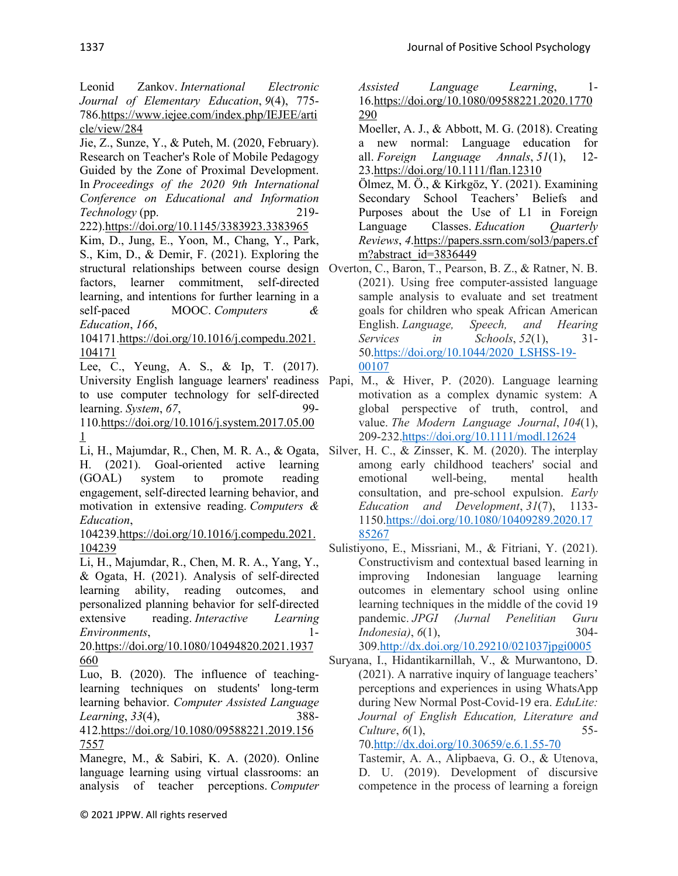Leonid Zankov. *International Electronic Journal of Elementary Education*, *9*(4), 775- 786[.https://www.iejee.com/index.php/IEJEE/arti](https://www.iejee.com/index.php/IEJEE/article/view/284) [cle/view/284](https://www.iejee.com/index.php/IEJEE/article/view/284)

Jie, Z., Sunze, Y., & Puteh, M. (2020, February). Research on Teacher's Role of Mobile Pedagogy Guided by the Zone of Proximal Development. In *Proceedings of the 2020 9th International Conference on Educational and Information Technology* (pp. 219-

222)[.https://doi.org/10.1145/3383923.3383965](https://doi.org/10.1145/3383923.3383965) Kim, D., Jung, E., Yoon, M., Chang, Y., Park,

S., Kim, D., & Demir, F. (2021). Exploring the factors, learner commitment, self-directed learning, and intentions for further learning in a self-paced MOOC. *Computers & Education*, *166*,

104171[.https://doi.org/10.1016/j.compedu.2021.](https://doi.org/10.1016/j.compedu.2021.104171) [104171](https://doi.org/10.1016/j.compedu.2021.104171)

Lee, C., Yeung, A. S., & Ip, T. (2017). to use computer technology for self-directed learning. *System*, *67*, 99-

110[.https://doi.org/10.1016/j.system.2017.05.00](https://doi.org/10.1016/j.system.2017.05.001) [1](https://doi.org/10.1016/j.system.2017.05.001)

H. (2021). Goal-oriented active learning (GOAL) system to promote reading engagement, self-directed learning behavior, and motivation in extensive reading. *Computers & Education*,

104239[.https://doi.org/10.1016/j.compedu.2021.](https://doi.org/10.1016/j.compedu.2021.104239) [104239](https://doi.org/10.1016/j.compedu.2021.104239)

Li, H., Majumdar, R., Chen, M. R. A., Yang, Y., & Ogata, H. (2021). Analysis of self-directed learning ability, reading outcomes, and personalized planning behavior for self-directed extensive reading. *Interactive Learning Environments*, 1-

20[.https://doi.org/10.1080/10494820.2021.1937](https://doi.org/10.1080/10494820.2021.1937660) [660](https://doi.org/10.1080/10494820.2021.1937660)

Luo, B. (2020). The influence of teachinglearning techniques on students' long-term learning behavior. *Computer Assisted Language Learning*, *33*(4), 388-

412[.https://doi.org/10.1080/09588221.2019.156](https://doi.org/10.1080/09588221.2019.1567557) [7557](https://doi.org/10.1080/09588221.2019.1567557)

Manegre, M., & Sabiri, K. A. (2020). Online language learning using virtual classrooms: an analysis of teacher perceptions. *Computer* 

*Assisted Language Learning*, 1- 16[.https://doi.org/10.1080/09588221.2020.1770](https://doi.org/10.1080/09588221.2020.1770290) [290](https://doi.org/10.1080/09588221.2020.1770290)

Moeller, A. J., & Abbott, M. G. (2018). Creating a new normal: Language education for all. *Foreign Language Annals*, *51*(1), 12- 23[.https://doi.org/10.1111/flan.12310](https://doi.org/10.1111/flan.12310)

Ölmez, M. Ö., & Kirkgöz, Y. (2021). Examining Secondary School Teachers' Beliefs and Purposes about the Use of L1 in Foreign Language Classes. *Education Quarterly Reviews*, *4*[.https://papers.ssrn.com/sol3/papers.cf](https://papers.ssrn.com/sol3/papers.cfm?abstract_id=3836449) [m?abstract\\_id=3836449](https://papers.ssrn.com/sol3/papers.cfm?abstract_id=3836449)

structural relationships between course design Overton, C., Baron, T., Pearson, B. Z., & Ratner, N. B. (2021). Using free computer-assisted language sample analysis to evaluate and set treatment goals for children who speak African American English. *Language, Speech, and Hearing Services in Schools*, *52*(1), 31- 50[.https://doi.org/10.1044/2020\\_LSHSS-19-](https://doi.org/10.1044/2020_LSHSS-19-00107) [00107](https://doi.org/10.1044/2020_LSHSS-19-00107)

University English language learners' readiness Papi, M., & Hiver, P. (2020). Language learning motivation as a complex dynamic system: A global perspective of truth, control, and value. *The Modern Language Journal*, *104*(1), 209-232[.https://doi.org/10.1111/modl.12624](https://doi.org/10.1111/modl.12624)

Li, H., Majumdar, R., Chen, M. R. A., & Ogata, Silver, H. C., & Zinsser, K. M. (2020). The interplay among early childhood teachers' social and emotional well-being, mental health consultation, and pre-school expulsion. *Early Education and Development*, *31*(7), 1133- 115[0.https://doi.org/10.1080/10409289.2020.17](https://doi.org/10.1080/10409289.2020.1785267) [85267](https://doi.org/10.1080/10409289.2020.1785267)

Sulistiyono, E., Missriani, M., & Fitriani, Y. (2021). Constructivism and contextual based learning in improving Indonesian language learning outcomes in elementary school using online learning techniques in the middle of the covid 19 pandemic. *JPGI (Jurnal Penelitian Guru Indonesia)*, *6*(1), 304- 309[.http://dx.doi.org/10.29210/021037jpgi0005](http://dx.doi.org/10.29210/021037jpgi0005)

Suryana, I., Hidantikarnillah, V., & Murwantono, D. (2021). A narrative inquiry of language teachers' perceptions and experiences in using WhatsApp during New Normal Post-Covid-19 era. *EduLite: Journal of English Education, Literature and Culture*, *6*(1), 55-

70[.http://dx.doi.org/10.30659/e.6.1.55-70](http://dx.doi.org/10.30659/e.6.1.55-70)

Tastemir, A. A., Alipbaeva, G. O., & Utenova, D. U. (2019). Development of discursive competence in the process of learning a foreign